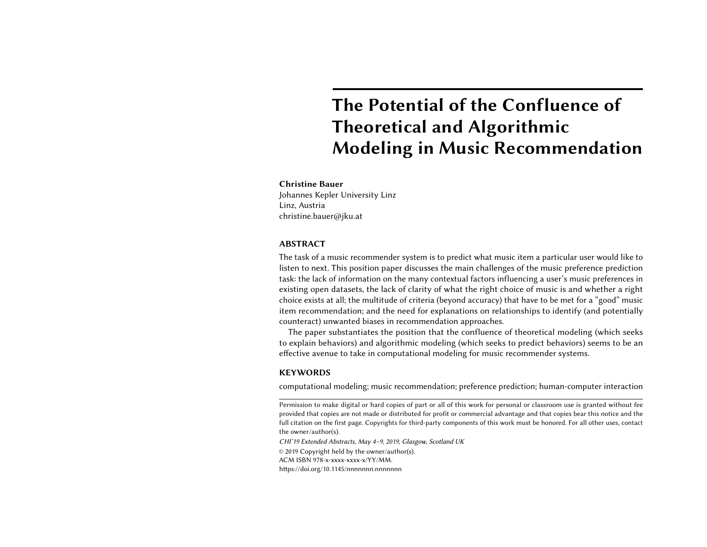# The Potential of the Confluence of Theoretical and Algorithmic Modeling in Music Recommendation

## Christine Bauer

Johannes Kepler University Linz Linz, Austria christine.bauer@jku.at

## ABSTRACT

The task of a music recommender system is to predict what music item a particular user would like to listen to next. This position paper discusses the main challenges of the music preference prediction task: the lack of information on the many contextual factors influencing a user's music preferences in existing open datasets, the lack of clarity of what the right choice of music is and whether a right choice exists at all; the multitude of criteria (beyond accuracy) that have to be met for a "good" music item recommendation; and the need for explanations on relationships to identify (and potentially counteract) unwanted biases in recommendation approaches.

The paper substantiates the position that the confluence of theoretical modeling (which seeks to explain behaviors) and algorithmic modeling (which seeks to predict behaviors) seems to be an effective avenue to take in computational modeling for music recommender systems.

## **KEYWORDS**

computational modeling; music recommendation; preference prediction; human-computer interaction

Permission to make digital or hard copies of part or all of this work for personal or classroom use is granted without fee provided that copies are not made or distributed for profit or commercial advantage and that copies bear this notice and the full citation on the first page. Copyrights for third-party components of this work must be honored. For all other uses, contact the owner/author(s).

CHI'19 Extended Abstracts, May 4–9, 2019, Glasgow, Scotland UK

© 2019 Copyright held by the owner/author(s).

ACM ISBN 978-x-xxxx-xxxx-x/YY/MM.

https://doi.org/10.1145/nnnnnnnn.nnnnnnn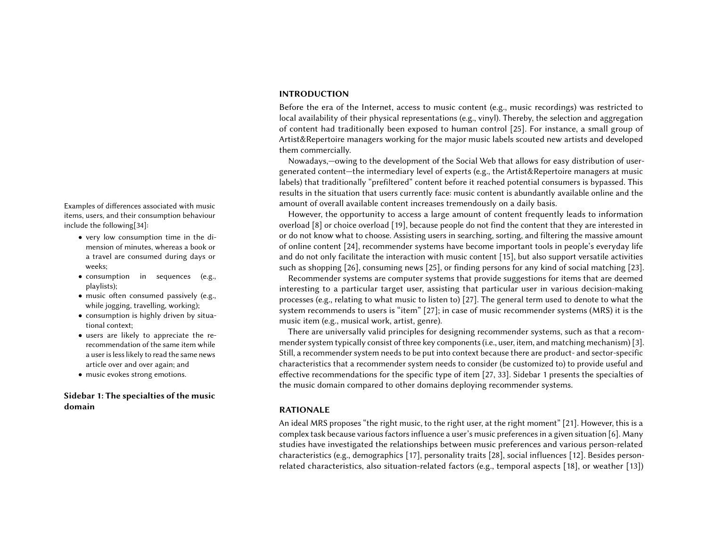# INTRODUCTION

Before the era of the Internet, access to music content (e.g., music recordings) was restricted to local availability of their physical representations (e.g., vinyl). Thereby, the selection and aggregation of content had traditionally been exposed to human control [\[25\]](#page-5-0). For instance, a small group of Artist&Repertoire managers working for the major music labels scouted new artists and developed them commercially.

Nowadays,—owing to the development of the Social Web that allows for easy distribution of usergenerated content—the intermediary level of experts (e.g., the Artist&Repertoire managers at music labels) that traditionally "prefiltered" content before it reached potential consumers is bypassed. This results in the situation that users currently face: music content is abundantly available online and the Examples of differences associated with music amount of overall available content increases tremendously on a daily basis.

> <span id="page-1-0"></span>However, the opportunity to access a large amount of content frequently leads to information overload [\[8\]](#page-4-0) or choice overload [\[19\]](#page-5-2), because people do not find the content that they are interested in or do not know what to choose. Assisting users in searching, sorting, and filtering the massive amount of online content [\[24\]](#page-5-3), recommender systems have become important tools in people's everyday life and do not only facilitate the interaction with music content [\[15\]](#page-4-1), but also support versatile activities such as shopping [\[26\]](#page-5-4), consuming news [\[25\]](#page-5-0), or finding persons for any kind of social matching [\[23\]](#page-5-5).

> Recommender systems are computer systems that provide suggestions for items that are deemed interesting to a particular target user, assisting that particular user in various decision-making processes (e.g., relating to what music to listen to) [\[27\]](#page-5-6). The general term used to denote to what the system recommends to users is "item" [\[27\]](#page-5-6); in case of music recommender systems (MRS) it is the music item (e.g., musical work, artist, genre).

> There are universally valid principles for designing recommender systems, such as that a recommender system typically consist of three key components (i.e., user, item, and matching mechanism) [\[3\]](#page-4-2). Still, a recommender system needs to be put into context because there are product- and sector-specific characteristics that a recommender system needs to consider (be customized to) to provide useful and effective recommendations for the specific type of item [\[27,](#page-5-6) [33\]](#page-5-7). Sidebar [1](#page-1-0) presents the specialties of the music domain compared to other domains deploying recommender systems.

# RATIONALE

An ideal MRS proposes "the right music, to the right user, at the right moment" [\[21\]](#page-5-8). However, this is a complex task because various factors influence a user's music preferences in a given situation [\[6\]](#page-4-3). Many studies have investigated the relationships between music preferences and various person-related characteristics (e.g., demographics [\[17\]](#page-4-4), personality traits [\[28\]](#page-5-9), social influences [\[12\]](#page-4-5). Besides personrelated characteristics, also situation-related factors (e.g., temporal aspects [\[18\]](#page-4-6), or weather [\[13\]](#page-4-7))

items, users, and their consumption behaviour include the following[\[34\]](#page-5-1):

- very low consumption time in the dimension of minutes, whereas a book or a travel are consumed during days or weeks;
- consumption in sequences (e.g., playlists);
- music often consumed passively (e.g., while jogging, travelling, working);
- consumption is highly driven by situational context;
- users are likely to appreciate the rerecommendation of the same item while a user is less likely to read the same news article over and over again; and
- music evokes strong emotions.

# Sidebar 1: The specialties of the music domain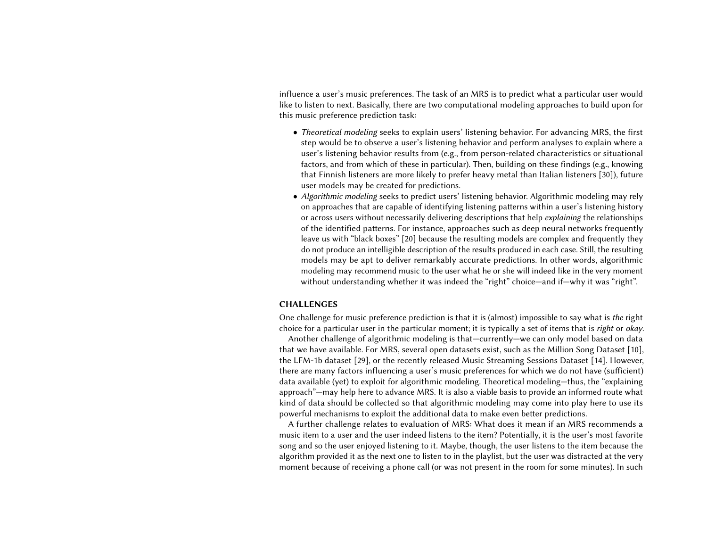influence a user's music preferences. The task of an MRS is to predict what a particular user would like to listen to next. Basically, there are two computational modeling approaches to build upon for this music preference prediction task:

- Theoretical modeling seeks to explain users' listening behavior. For advancing MRS, the first step would be to observe a user's listening behavior and perform analyses to explain where a user's listening behavior results from (e.g., from person-related characteristics or situational factors, and from which of these in particular). Then, building on these findings (e.g., knowing that Finnish listeners are more likely to prefer heavy metal than Italian listeners [\[30\]](#page-5-10)), future user models may be created for predictions.
- Algorithmic modeling seeks to predict users' listening behavior. Algorithmic modeling may rely on approaches that are capable of identifying listening patterns within a user's listening history or across users without necessarily delivering descriptions that help explaining the relationships of the identified patterns. For instance, approaches such as deep neural networks frequently leave us with "black boxes" [\[20\]](#page-5-11) because the resulting models are complex and frequently they do not produce an intelligible description of the results produced in each case. Still, the resulting models may be apt to deliver remarkably accurate predictions. In other words, algorithmic modeling may recommend music to the user what he or she will indeed like in the very moment without understanding whether it was indeed the "right" choice—and if—why it was "right".

# CHALLENGES

One challenge for music preference prediction is that it is (almost) impossible to say what is the right choice for a particular user in the particular moment; it is typically a set of items that is right or okay.

Another challenge of algorithmic modeling is that—currently—we can only model based on data that we have available. For MRS, several open datasets exist, such as the Million Song Dataset [\[10\]](#page-4-8), the LFM-1b dataset [\[29\]](#page-5-12), or the recently released Music Streaming Sessions Dataset [\[14\]](#page-4-9). However, there are many factors influencing a user's music preferences for which we do not have (sufficient) data available (yet) to exploit for algorithmic modeling. Theoretical modeling—thus, the "explaining approach"—may help here to advance MRS. It is also a viable basis to provide an informed route what kind of data should be collected so that algorithmic modeling may come into play here to use its powerful mechanisms to exploit the additional data to make even better predictions.

A further challenge relates to evaluation of MRS: What does it mean if an MRS recommends a music item to a user and the user indeed listens to the item? Potentially, it is the user's most favorite song and so the user enjoyed listening to it. Maybe, though, the user listens to the item because the algorithm provided it as the next one to listen to in the playlist, but the user was distracted at the very moment because of receiving a phone call (or was not present in the room for some minutes). In such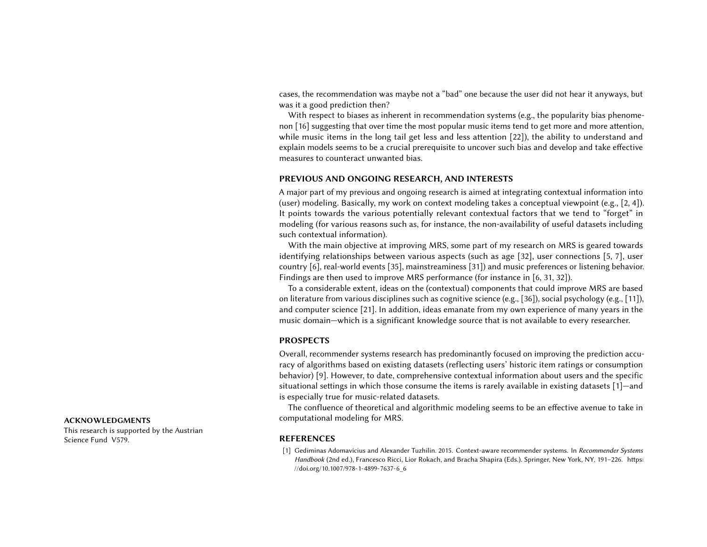cases, the recommendation was maybe not a "bad" one because the user did not hear it anyways, but was it a good prediction then?

With respect to biases as inherent in recommendation systems (e.g., the popularity bias phenomenon [\[16\]](#page-4-10) suggesting that over time the most popular music items tend to get more and more attention, while music items in the long tail get less and less attention [\[22\]](#page-5-13)), the ability to understand and explain models seems to be a crucial prerequisite to uncover such bias and develop and take effective measures to counteract unwanted bias.

# PREVIOUS AND ONGOING RESEARCH, AND INTERESTS

A major part of my previous and ongoing research is aimed at integrating contextual information into (user) modeling. Basically, my work on context modeling takes a conceptual viewpoint (e.g., [\[2,](#page-4-11) [4\]](#page-4-12)). It points towards the various potentially relevant contextual factors that we tend to "forget" in modeling (for various reasons such as, for instance, the non-availability of useful datasets including such contextual information).

With the main objective at improving MRS, some part of my research on MRS is geared towards identifying relationships between various aspects (such as age [\[32\]](#page-5-14), user connections [\[5,](#page-4-13) [7\]](#page-4-14), user country [\[6\]](#page-4-3), real-world events [\[35\]](#page-5-15), mainstreaminess [\[31\]](#page-5-16)) and music preferences or listening behavior. Findings are then used to improve MRS performance (for instance in [\[6,](#page-4-3) [31,](#page-5-16) [32\]](#page-5-14)).

To a considerable extent, ideas on the (contextual) components that could improve MRS are based on literature from various disciplines such as cognitive science (e.g., [\[36\]](#page-5-17)), social psychology (e.g., [\[11\]](#page-4-15)), and computer science [\[21\]](#page-5-8). In addition, ideas emanate from my own experience of many years in the music domain—which is a significant knowledge source that is not available to every researcher.

# PROSPECTS

Overall, recommender systems research has predominantly focused on improving the prediction accuracy of algorithms based on existing datasets (reflecting users' historic item ratings or consumption behavior) [\[9\]](#page-4-16). However, to date, comprehensive contextual information about users and the specific situational settings in which those consume the items is rarely available in existing datasets [\[1\]](#page-3-0)—and is especially true for music-related datasets.

The confluence of theoretical and algorithmic modeling seems to be an effective avenue to take in ACKNOWLEDGMENTS computational modeling for MRS.

<span id="page-3-0"></span>[1] Gediminas Adomavicius and Alexander Tuzhilin. 2015. Context-aware recommender systems. In Recommender Systems Handbook (2nd ed.), Francesco Ricci, Lior Rokach, and Bracha Shapira (Eds.). Springer, New York, NY, 191–226. [https:](https://doi.org/10.1007/978-1-4899-7637-6_6) [//doi.org/10.1007/978-1-4899-7637-6\\_6](https://doi.org/10.1007/978-1-4899-7637-6_6)

This research is supported by the Austrian Science Fund V579. The Contract of the REFERENCES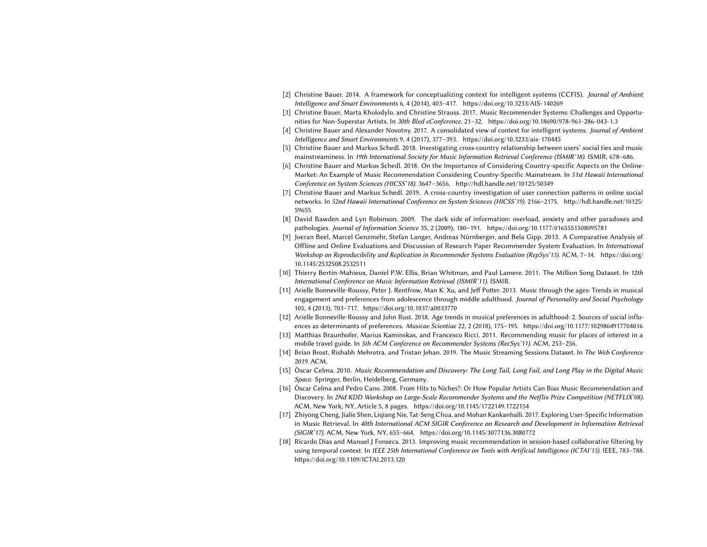- <span id="page-4-11"></span>[2] Christine Bauer. 2014. A framework for conceptualizing context for intelligent systems (CCFIS). Journal of Ambient Intelligence and Smart Environments 6, 4 (2014), 403–417.<https://doi.org/10.3233/AIS-140269>
- <span id="page-4-2"></span>[3] Christine Bauer, Marta Kholodylo, and Christine Strauss. 2017. Music Recommender Systems: Challenges and Opportunities for Non-Superstar Artists. In 30th Bled eConference. 21-32.<https://doi.org/10.18690/978-961-286-043-1.3>
- <span id="page-4-12"></span>[4] Christine Bauer and Alexander Novotny. 2017. A consolidated view of context for intelligent systems. Journal of Ambient Intelligence and Smart Environments 9, 4 (2017), 377–393.<https://doi.org/10.3233/ais-170445>
- <span id="page-4-13"></span>[5] Christine Bauer and Markus Schedl. 2018. Investigating cross-country relationship between users' social ties and music mainstreaminess. In 19th International Society for Music Information Retrieval Conference (ISMIR'18). ISMIR, 678-686.
- <span id="page-4-3"></span>[6] Christine Bauer and Markus Schedl. 2018. On the Importance of Considering Country-specific Aspects on the Online-Market: An Example of Music Recommendation Considering Country-Specific Mainstream. In 51st Hawaii International Conference on System Sciences (HICSS'18). 3647–3656.<http://hdl.handle.net/10125/50349>
- <span id="page-4-14"></span>[7] Christine Bauer and Markus Schedl. 2019. A cross-country investigation of user connection patterns in online social networks. In 52nd Hawaii International Conference on System Sciences (HICSS'19). 2166–2175. [http://hdl.handle.net/10125/](http://hdl.handle.net/10125/59655) [59655](http://hdl.handle.net/10125/59655)
- <span id="page-4-0"></span>[8] David Bawden and Lyn Robinson. 2009. The dark side of information: overload, anxiety and other paradoxes and pathologies. Journal of Information Science 35, 2 (2009), 180–191.<https://doi.org/10.1177/0165551508095781>
- <span id="page-4-16"></span>[9] Joeran Beel, Marcel Genzmehr, Stefan Langer, Andreas Nürnberger, and Bela Gipp. 2013. A Comparative Analysis of Offline and Online Evaluations and Discussion of Research Paper Recommender System Evaluation. In International Workshop on Reproducibility and Replication in Recommender Systems Evaluation (RepSys'13). ACM, 7–14. [https://doi.org/](https://doi.org/10.1145/2532508.2532511) [10.1145/2532508.2532511](https://doi.org/10.1145/2532508.2532511)
- <span id="page-4-8"></span>[10] Thierry Bertin-Mahieux, Daniel P.W. Ellis, Brian Whitman, and Paul Lamere. 2011. The Million Song Dataset. In 12th International Conference on Music Information Retrieval (ISMIR'11). ISMIR.
- <span id="page-4-15"></span>[11] Arielle Bonneville-Roussy, Peter J. Rentfrow, Man K. Xu, and Jeff Potter. 2013. Music through the ages: Trends in musical engagement and preferences from adolescence through middle adulthood. Journal of Personality and Social Psychology 105, 4 (2013), 703–717.<https://doi.org/10.1037/a0033770>
- <span id="page-4-5"></span>[12] Arielle Bonneville-Roussy and John Rust. 2018. Age trends in musical preferences in adulthood: 2. Sources of social influences as determinants of preferences. Musicae Scientiae 22, 2 (2018), 175–195.<https://doi.org/10.1177/1029864917704016>
- <span id="page-4-7"></span>[13] Matthias Braunhofer, Marius Kaminskas, and Francesco Ricci. 2011. Recommending music for places of interest in a mobile travel guide. In 5th ACM Conference on Recommender Systems (RecSys'11). ACM, 253-256.
- <span id="page-4-9"></span>[14] Brian Brost, Rishabh Mehrotra, and Tristan Jehan. 2019. The Music Streaming Sessions Dataset. In The Web Conference 2019. ACM.
- <span id="page-4-1"></span>[15] Òscar Celma. 2010. Music Recommendation and Discovery: The Long Tail, Long Fail, and Long Play in the Digital Music Space. Springer, Berlin, Heidelberg, Germany.
- <span id="page-4-10"></span>[16] Òscar Celma and Pedro Cano. 2008. From Hits to Niches?: Or How Popular Artists Can Bias Music Recommendation and Discovery. In 2Nd KDD Workshop on Large-Scale Recommender Systems and the Netflix Prize Competition (NETFLIX'08). ACM, New York, NY, Article 5, 8 pages.<https://doi.org/10.1145/1722149.1722154>
- <span id="page-4-4"></span>[17] Zhiyong Cheng, Jialie Shen, Liqiang Nie, Tat-Seng Chua, and Mohan Kankanhalli. 2017. Exploring User-Specific Information in Music Retrieval. In 40th International ACM SIGIR Conference on Research and Development in Information Retrieval (SIGIR'17). ACM, New York, NY, 655–664.<https://doi.org/10.1145/3077136.3080772>
- <span id="page-4-6"></span>[18] Ricardo Dias and Manuel J Fonseca. 2013. Improving music recommendation in session-based collaborative filtering by using temporal context. In IEEE 25th International Conference on Tools with Artificial Intelligence (ICTAI'13). IEEE, 783–788. <https://doi.org/10.1109/ICTAI.2013.120>